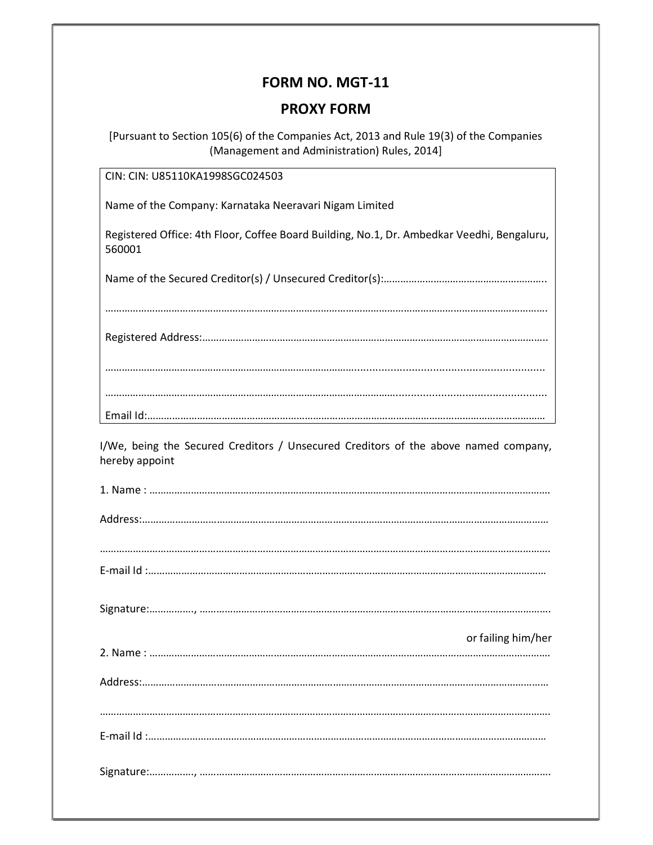## FORM NO. MGT-11

## PROXY FORM

[Pursuant to Section 105(6) of the Companies Act, 2013 and Rule 19(3) of the Companies (Management and Administration) Rules, 2014]

CIN: CIN: U85110KA1998SGC024503

Name of the Company: Karnataka Neeravari Nigam Limited

Registered Office: 4th Floor, Coffee Board Building, No.1, Dr. Ambedkar Veedhi, Bengaluru, 560001

Name of the Secured Creditor(s) / Unsecured Creditor(s):…………………………………………………..

……………………………………………………………………………………………………………………………………………. Registered Address:…………………………………………………………………………………………………………….. ………………………………………………………………………………............................................................... …………………………………………………………………………………………….................................................. Email Id:………………………………………………………………………………………………………………………………

I/We, being the Secured Creditors / Unsecured Creditors of the above named company, hereby appoint

| or failing him/her |
|--------------------|
|                    |
|                    |
|                    |
|                    |
|                    |